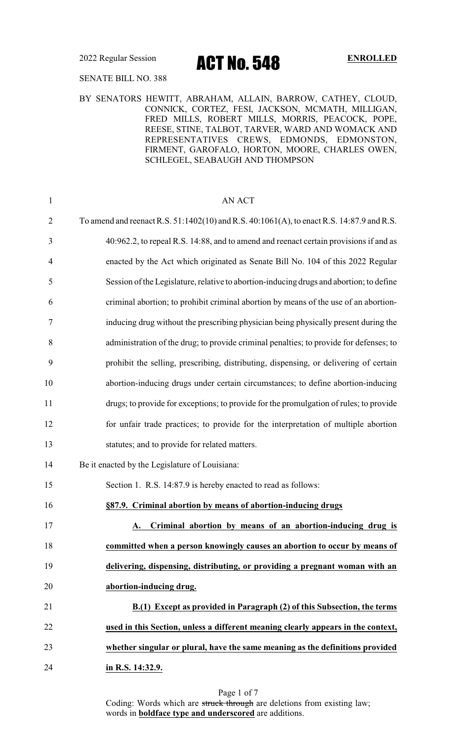2022 Regular Session **ACT NO. 548** ENROLLED

### SENATE BILL NO. 388

### BY SENATORS HEWITT, ABRAHAM, ALLAIN, BARROW, CATHEY, CLOUD, CONNICK, CORTEZ, FESI, JACKSON, MCMATH, MILLIGAN, FRED MILLS, ROBERT MILLS, MORRIS, PEACOCK, POPE, REESE, STINE, TALBOT, TARVER, WARD AND WOMACK AND REPRESENTATIVES CREWS, EDMONDS, EDMONSTON, FIRMENT, GAROFALO, HORTON, MOORE, CHARLES OWEN, SCHLEGEL, SEABAUGH AND THOMPSON

| $\mathbf{1}$   | <b>AN ACT</b>                                                                             |
|----------------|-------------------------------------------------------------------------------------------|
| $\overline{2}$ | To amend and reenact R.S. 51:1402(10) and R.S. 40:1061(A), to enact R.S. 14:87.9 and R.S. |
| 3              | 40:962.2, to repeal R.S. 14:88, and to amend and reenact certain provisions if and as     |
| $\overline{4}$ | enacted by the Act which originated as Senate Bill No. 104 of this 2022 Regular           |
| 5              | Session of the Legislature, relative to abortion-inducing drugs and abortion; to define   |
| 6              | criminal abortion; to prohibit criminal abortion by means of the use of an abortion-      |
| 7              | inducing drug without the prescribing physician being physically present during the       |
| 8              | administration of the drug; to provide criminal penalties; to provide for defenses; to    |
| 9              | prohibit the selling, prescribing, distributing, dispensing, or delivering of certain     |
| 10             | abortion-inducing drugs under certain circumstances; to define abortion-inducing          |
| 11             | drugs; to provide for exceptions; to provide for the promulgation of rules; to provide    |
| 12             | for unfair trade practices; to provide for the interpretation of multiple abortion        |
| 13             | statutes; and to provide for related matters.                                             |
| 14             | Be it enacted by the Legislature of Louisiana:                                            |
| 15             | Section 1. R.S. 14:87.9 is hereby enacted to read as follows:                             |
| 16             | §87.9. Criminal abortion by means of abortion-inducing drugs                              |
| 17             | A. Criminal abortion by means of an abortion-inducing drug is                             |
| 18             | committed when a person knowingly causes an abortion to occur by means of                 |
| 19             | delivering, dispensing, distributing, or providing a pregnant woman with an               |
| 20             | abortion-inducing drug.                                                                   |
| 21             | B.(1) Except as provided in Paragraph (2) of this Subsection, the terms                   |
| 22             | used in this Section, unless a different meaning clearly appears in the context,          |
| 23             | whether singular or plural, have the same meaning as the definitions provided             |
| 24             | in R.S. 14:32.9.                                                                          |
|                |                                                                                           |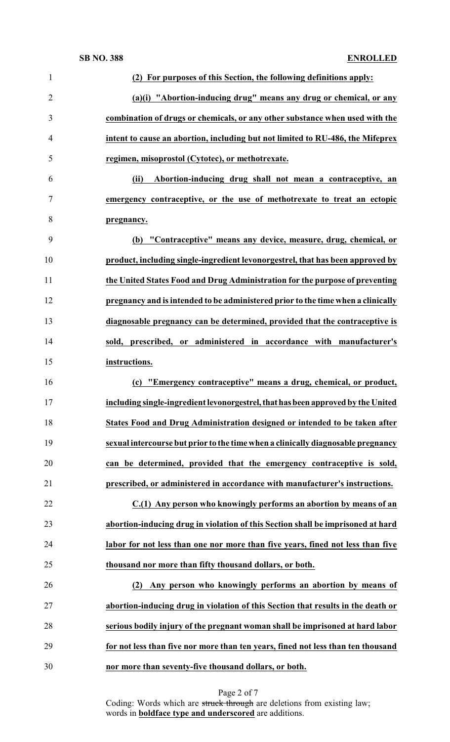| $\mathbf{1}$   | (2) For purposes of this Section, the following definitions apply:               |
|----------------|----------------------------------------------------------------------------------|
| $\overline{2}$ | (a)(i) "Abortion-inducing drug" means any drug or chemical, or any               |
| 3              | combination of drugs or chemicals, or any other substance when used with the     |
| 4              | intent to cause an abortion, including but not limited to RU-486, the Mifeprex   |
| 5              | regimen, misoprostol (Cytotec), or methotrexate.                                 |
| 6              | (ii)<br>Abortion-inducing drug shall not mean a contraceptive, an                |
| 7              | emergency contraceptive, or the use of methotrexate to treat an ectopic          |
| 8              | pregnancy.                                                                       |
| 9              | (b) "Contraceptive" means any device, measure, drug, chemical, or                |
| 10             | product, including single-ingredient levonorgestrel, that has been approved by   |
| 11             | the United States Food and Drug Administration for the purpose of preventing     |
| 12             | pregnancy and is intended to be administered prior to the time when a clinically |
| 13             | diagnosable pregnancy can be determined, provided that the contraceptive is      |
| 14             | sold, prescribed, or administered in accordance with manufacturer's              |
| 15             | instructions.                                                                    |
| 16             | "Emergency contraceptive" means a drug, chemical, or product,<br>(c)             |
| 17             | including single-ingredient levonorgestrel, that has been approved by the United |
| 18             | States Food and Drug Administration designed or intended to be taken after       |
| 19             | sexual intercourse but prior to the time when a clinically diagnosable pregnancy |
| 20             | can be determined, provided that the emergency contraceptive is sold,            |
| 21             | prescribed, or administered in accordance with manufacturer's instructions.      |
| 22             | C.(1) Any person who knowingly performs an abortion by means of an               |
| 23             | abortion-inducing drug in violation of this Section shall be imprisoned at hard  |
| 24             | labor for not less than one nor more than five years, fined not less than five   |
| 25             | thousand nor more than fifty thousand dollars, or both.                          |
| 26             | Any person who knowingly performs an abortion by means of<br>(2)                 |
| 27             | abortion-inducing drug in violation of this Section that results in the death or |
| 28             | serious bodily injury of the pregnant woman shall be imprisoned at hard labor    |
| 29             | for not less than five nor more than ten years, fined not less than ten thousand |
| 30             | nor more than seventy-five thousand dollars, or both.                            |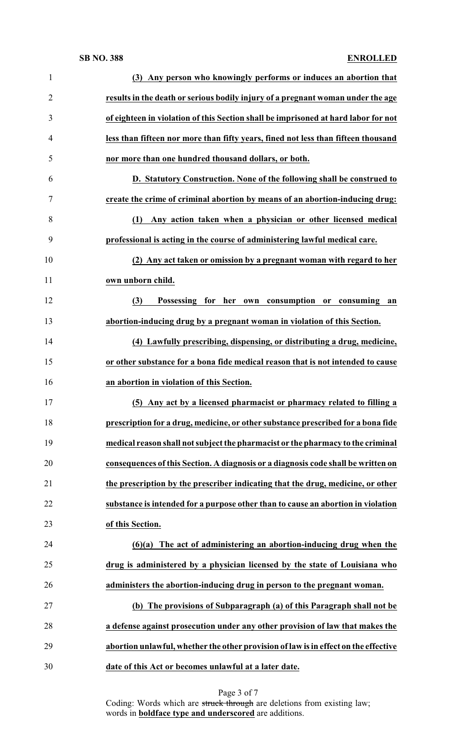### **SB NO. 388 ENROLLED**

| $\mathbf{1}$   | (3) Any person who knowingly performs or induces an abortion that                   |
|----------------|-------------------------------------------------------------------------------------|
| $\overline{2}$ | results in the death or serious bodily injury of a pregnant woman under the age     |
| 3              | of eighteen in violation of this Section shall be imprisoned at hard labor for not  |
| 4              | less than fifteen nor more than fifty years, fined not less than fifteen thousand   |
| 5              | nor more than one hundred thousand dollars, or both.                                |
| 6              | D. Statutory Construction. None of the following shall be construed to              |
| 7              | create the crime of criminal abortion by means of an abortion-inducing drug:        |
| 8              | Any action taken when a physician or other licensed medical<br>(1)                  |
| 9              | professional is acting in the course of administering lawful medical care.          |
| 10             | (2) Any act taken or omission by a pregnant woman with regard to her                |
| 11             | own unborn child.                                                                   |
| 12             | (3)<br>Possessing for her own consumption or consuming<br>an                        |
| 13             | abortion-inducing drug by a pregnant woman in violation of this Section.            |
| 14             | (4) Lawfully prescribing, dispensing, or distributing a drug, medicine,             |
| 15             | or other substance for a bona fide medical reason that is not intended to cause     |
| 16             | an abortion in violation of this Section.                                           |
| 17             | (5) Any act by a licensed pharmacist or pharmacy related to filling a               |
| 18             | prescription for a drug, medicine, or other substance prescribed for a bona fide    |
| 19             | medical reason shall not subject the pharmacist or the pharmacy to the criminal     |
| 20             | consequences of this Section. A diagnosis or a diagnosis code shall be written on   |
| 21             | the prescription by the prescriber indicating that the drug, medicine, or other     |
| 22             | substance is intended for a purpose other than to cause an abortion in violation    |
| 23             | of this Section.                                                                    |
| 24             | $(6)(a)$ The act of administering an abortion-inducing drug when the                |
| 25             | drug is administered by a physician licensed by the state of Louisiana who          |
| 26             | administers the abortion-inducing drug in person to the pregnant woman.             |
| 27             | (b) The provisions of Subparagraph (a) of this Paragraph shall not be               |
| 28             | a defense against prosecution under any other provision of law that makes the       |
| 29             | abortion unlawful, whether the other provision of law is in effect on the effective |
|                |                                                                                     |

Page 3 of 7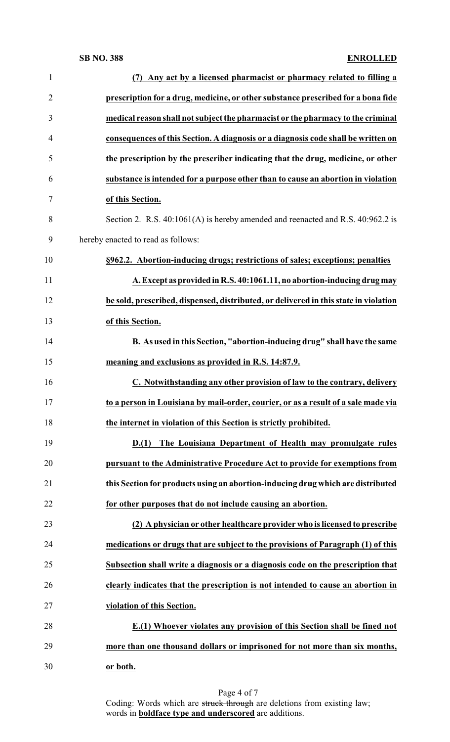### **SB NO. 388 ENROLLED**

| $\mathbf{1}$   | Any act by a licensed pharmacist or pharmacy related to filling a<br>(7)             |
|----------------|--------------------------------------------------------------------------------------|
| $\overline{2}$ | prescription for a drug, medicine, or other substance prescribed for a bona fide     |
| 3              | medical reason shall not subject the pharmacist or the pharmacy to the criminal      |
| $\overline{4}$ | consequences of this Section. A diagnosis or a diagnosis code shall be written on    |
| 5              | the prescription by the prescriber indicating that the drug, medicine, or other      |
| 6              | substance is intended for a purpose other than to cause an abortion in violation     |
| 7              | of this Section.                                                                     |
| 8              | Section 2. R.S. $40:1061(A)$ is hereby amended and reenacted and R.S. $40:962.2$ is  |
| 9              | hereby enacted to read as follows:                                                   |
| 10             | §962.2. Abortion-inducing drugs; restrictions of sales; exceptions; penalties        |
| 11             | A. Except as provided in R.S. 40:1061.11, no abortion-inducing drug may              |
| 12             | be sold, prescribed, dispensed, distributed, or delivered in this state in violation |
| 13             | of this Section.                                                                     |
| 14             | B. As used in this Section, "abortion-inducing drug" shall have the same             |
| 15             | meaning and exclusions as provided in R.S. 14:87.9.                                  |
| 16             | C. Notwithstanding any other provision of law to the contrary, delivery              |
| 17             | to a person in Louisiana by mail-order, courier, or as a result of a sale made via   |
| 18             | the internet in violation of this Section is strictly prohibited.                    |
| 19             | D.(1) The Louisiana Department of Health may promulgate rules                        |
| 20             | pursuant to the Administrative Procedure Act to provide for exemptions from          |
| 21             | this Section for products using an abortion-inducing drug which are distributed      |
| 22             | for other purposes that do not include causing an abortion.                          |
| 23             | (2) A physician or other healthcare provider who is licensed to prescribe            |
| 24             | medications or drugs that are subject to the provisions of Paragraph (1) of this     |
| 25             | Subsection shall write a diagnosis or a diagnosis code on the prescription that      |
| 26             | clearly indicates that the prescription is not intended to cause an abortion in      |
| 27             | violation of this Section.                                                           |
| 28             | E.(1) Whoever violates any provision of this Section shall be fined not              |
| 29             | more than one thousand dollars or imprisoned for not more than six months,           |
| 30             | or both.                                                                             |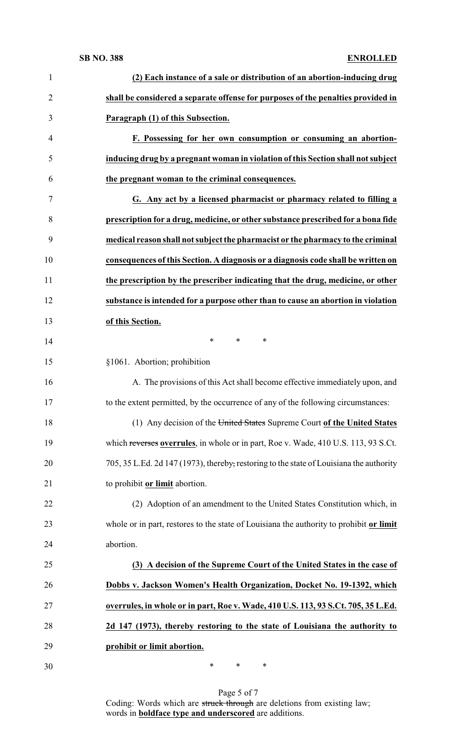### **SB NO. 388 ENROLLED**

| $\mathbf{1}$   | (2) Each instance of a sale or distribution of an abortion-inducing drug                |
|----------------|-----------------------------------------------------------------------------------------|
| $\overline{2}$ | shall be considered a separate offense for purposes of the penalties provided in        |
| 3              | Paragraph (1) of this Subsection.                                                       |
| $\overline{4}$ | F. Possessing for her own consumption or consuming an abortion-                         |
| 5              | inducing drug by a pregnant woman in violation of this Section shall not subject        |
| 6              | the pregnant woman to the criminal consequences.                                        |
| 7              | G. Any act by a licensed pharmacist or pharmacy related to filling a                    |
| 8              | prescription for a drug, medicine, or other substance prescribed for a bona fide        |
| 9              | medical reason shall not subject the pharmacist or the pharmacy to the criminal         |
| 10             | consequences of this Section. A diagnosis or a diagnosis code shall be written on       |
| 11             | the prescription by the prescriber indicating that the drug, medicine, or other         |
| 12             | substance is intended for a purpose other than to cause an abortion in violation        |
| 13             | of this Section.                                                                        |
| 14             | $*$<br>*<br>$\ast$                                                                      |
| 15             | §1061. Abortion; prohibition                                                            |
| 16             | A. The provisions of this Act shall become effective immediately upon, and              |
| 17             | to the extent permitted, by the occurrence of any of the following circumstances:       |
| 18             | (1) Any decision of the United States Supreme Court of the United States                |
| 19             | which reverses overrules, in whole or in part, Roe v. Wade, 410 U.S. 113, 93 S.Ct.      |
| 20             | 705, 35 L.Ed. 2d 147 (1973), thereby, restoring to the state of Louisiana the authority |
| 21             | to prohibit or limit abortion.                                                          |
| 22             | (2) Adoption of an amendment to the United States Constitution which, in                |
| 23             | whole or in part, restores to the state of Louisiana the authority to prohibit or limit |
| 24             | abortion.                                                                               |
| 25             | (3) A decision of the Supreme Court of the United States in the case of                 |
| 26             | Dobbs v. Jackson Women's Health Organization, Docket No. 19-1392, which                 |
| 27             | overrules, in whole or in part, Roe v. Wade, 410 U.S. 113, 93 S.Ct. 705, 35 L.Ed.       |
| 28             | 2d 147 (1973), thereby restoring to the state of Louisiana the authority to             |
| 29             | prohibit or limit abortion.                                                             |
| 30             | ∗<br>∗<br>∗                                                                             |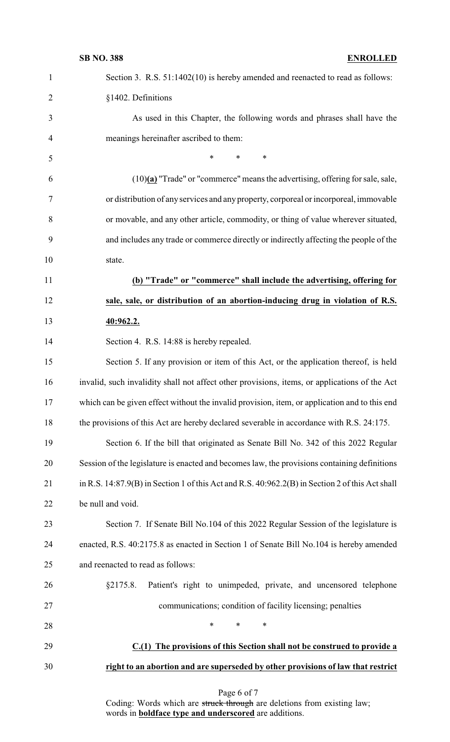| $\mathbf{1}$   | Section 3. R.S. 51:1402(10) is hereby amended and reenacted to read as follows:                     |
|----------------|-----------------------------------------------------------------------------------------------------|
| $\overline{2}$ | §1402. Definitions                                                                                  |
| 3              | As used in this Chapter, the following words and phrases shall have the                             |
| $\overline{4}$ | meanings hereinafter ascribed to them:                                                              |
| 5              | $\ast$<br>*<br>$\ast$                                                                               |
| 6              | $(10)(a)$ "Trade" or "commerce" means the advertising, offering for sale, sale,                     |
| 7              | or distribution of any services and any property, corporeal or incorporeal, immovable               |
| 8              | or movable, and any other article, commodity, or thing of value wherever situated,                  |
| 9              | and includes any trade or commerce directly or indirectly affecting the people of the               |
| 10             | state.                                                                                              |
| 11             | (b) "Trade" or "commerce" shall include the advertising, offering for                               |
| 12             | sale, sale, or distribution of an abortion-inducing drug in violation of R.S.                       |
| 13             | 40:962.2.                                                                                           |
| 14             | Section 4. R.S. 14:88 is hereby repealed.                                                           |
| 15             | Section 5. If any provision or item of this Act, or the application thereof, is held                |
| 16             | invalid, such invalidity shall not affect other provisions, items, or applications of the Act       |
| 17             | which can be given effect without the invalid provision, item, or application and to this end       |
| 18             | the provisions of this Act are hereby declared severable in accordance with R.S. 24:175.            |
| 19             | Section 6. If the bill that originated as Senate Bill No. 342 of this 2022 Regular                  |
| 20             | Session of the legislature is enacted and becomes law, the provisions containing definitions        |
| 21             | in R.S. $14:87.9(B)$ in Section 1 of this Act and R.S. $40:962.2(B)$ in Section 2 of this Act shall |
| 22             | be null and void.                                                                                   |
| 23             | Section 7. If Senate Bill No.104 of this 2022 Regular Session of the legislature is                 |
| 24             | enacted, R.S. 40:2175.8 as enacted in Section 1 of Senate Bill No.104 is hereby amended             |
| 25             | and reenacted to read as follows:                                                                   |
| 26             | Patient's right to unimpeded, private, and uncensored telephone<br>§2175.8.                         |
| 27             | communications; condition of facility licensing; penalties                                          |
| 28             | $\ast$<br>*<br>∗                                                                                    |
| 29             | C.(1) The provisions of this Section shall not be construed to provide a                            |
| 30             | right to an abortion and are superseded by other provisions of law that restrict                    |
|                |                                                                                                     |

Page 6 of 7